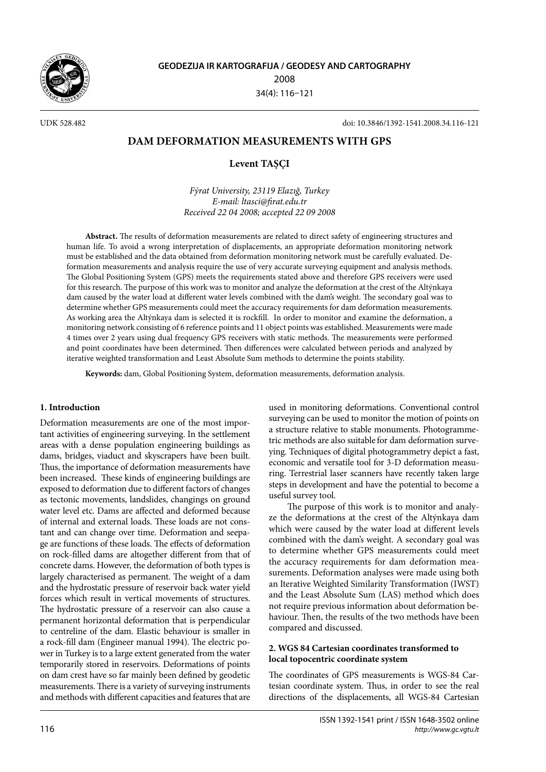

UDK 528.482 doi: 10.3846/1392-1541.2008.34.116-121

# **DAM DEFORMATION MEASUREMENTS WITH GPS**

# **Levent TAŞÇI**

*Fýrat University, 23119 Elazığ, Turkey E-mail: ltasci@firat.edu.tr Received 22 04 2008; accepted 22 09 2008*

**Abstract.** The results of deformation measurements are related to direct safety of engineering structures and human life. To avoid a wrong interpretation of displacements, an appropriate deformation monitoring network must be established and the data obtained from deformation monitoring network must be carefully evaluated. Deformation measurements and analysis require the use of very accurate surveying equipment and analysis methods. The Global Positioning System (GPS) meets the requirements stated above and therefore GPS receivers were used for this research. The purpose of this work was to monitor and analyze the deformation at the crest of the Altýnkaya dam caused by the water load at different water levels combined with the dam's weight. The secondary goal was to determine whether GPS measurements could meet the accuracy requirements for dam deformation measurements. As working area the Altýnkaya dam is selected it is rockfill. In order to monitor and examine the deformation, a monitoring network consisting of 6 reference points and 11 object points was established. Measurements were made 4 times over 2 years using dual frequency GPS receivers with static methods. The measurements were performed and point coordinates have been determined. Then differences were calculated between periods and analyzed by iterative weighted transformation and Least Absolute Sum methods to determine the points stability.

**Keywords:** dam, Global Positioning System, deformation measurements, deformation analysis.

## **1. Introduction**

Deformation measurements are one of the most important activities of engineering surveying. In the settlement areas with a dense population engineering buildings as dams, bridges, viaduct and skyscrapers have been built. Thus, the importance of deformation measurements have been increased. These kinds of engineering buildings are exposed to deformation due to different factors of changes as tectonic movements, landslides, changings on ground water level etc. Dams are affected and deformed because of internal and external loads. These loads are not constant and can change over time. Deformation and seepage are functions of these loads. The effects of deformation on rock-filled dams are altogether different from that of concrete dams. However, the deformation of both types is largely characterised as permanent. The weight of a dam and the hydrostatic pressure of reservoir back water yield forces which result in vertical movements of structures. The hydrostatic pressure of a reservoir can also cause a permanent horizontal deformation that is perpendicular to centreline of the dam. Elastic behaviour is smaller in a rock-fill dam (Engineer manual 1994). The electric power in Turkey is to a large extent generated from the water temporarily stored in reservoirs. Deformations of points on dam crest have so far mainly been defined by geodetic measurements. There is a variety of surveying instruments and methods with different capacities and features that are used in monitoring deformations. Conventional control surveying can be used to monitor the motion of points on a structure relative to stable monuments. Photogrammetric methods are also suitable for dam deformation surveying. Techniques of digital photogrammetry depict a fast, economic and versatile tool for 3-D deformation measuring. Terrestrial laser scanners have recently taken large steps in development and have the potential to become a useful survey tool.

The purpose of this work is to monitor and analyze the deformations at the crest of the Altýnkaya dam which were caused by the water load at different levels combined with the dam's weight. A secondary goal was to determine whether GPS measurements could meet the accuracy requirements for dam deformation measurements. Deformation analyses were made using both an Iterative Weighted Similarity Transformation (IWST) and the Least Absolute Sum (LAS) method which does not require previous information about deformation behaviour. Then, the results of the two methods have been compared and discussed.

# **2. WGS 84 Cartesian coordinates transformed to local topocentric coordinate system**

The coordinates of GPS measurements is WGS-84 Cartesian coordinate system. Thus, in order to see the real directions of the displacements, all WGS-84 Cartesian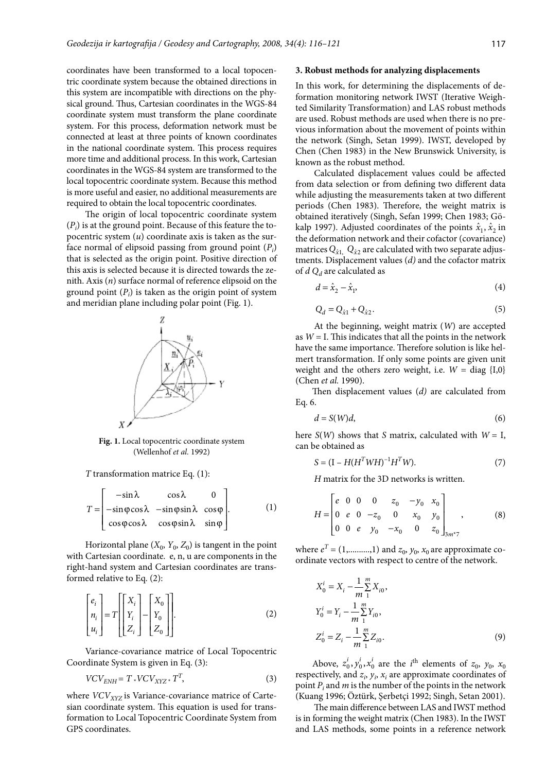coordinates have been transformed to a local topocentric coordinate system because the obtained directions in this system are incompatible with directions on the physical ground. Thus, Cartesian coordinates in the WGS-84 coordinate system must transform the plane coordinate system. For this process, deformation network must be connected at least at three points of known coordinates in the national coordinate system. This process requires more time and additional process. In this work, Cartesian coordinates in the WGS-84 system are transformed to the local topocentric coordinate system. Because this method is more useful and easier, no additional measurements are required to obtain the local topocentric coordinates.

The origin of local topocentric coordinate system  $(P_i)$  is at the ground point. Because of this feature the topocentric system (*u*) coordinate axis is taken as the surface normal of elipsoid passing from ground point (*Pi* ) that is selected as the origin point. Positive direction of this axis is selected because it is directed towards the zenith. Axis (*n*) surface normal of reference elipsoid on the ground point (*Pi* ) is taken as the origin point of system and meridian plane including polar point (Fig. 1).



**Fig. 1.** Local topocentric coordinate system (Wellenhof *et al.* 1992)

# *T* transformation matrice Eq. (1):

$$
T = \begin{bmatrix} -\sin\lambda & \cos\lambda & 0 \\ -\sin\varphi\cos\lambda & -\sin\varphi\sin\lambda & \cos\varphi \\ \cos\varphi\cos\lambda & \cos\varphi\sin\lambda & \sin\varphi \end{bmatrix} .
$$
 (1)

Horizontal plane  $(X_0, Y_0, Z_0)$  is tangent in the point with Cartesian coordinate. e, n, u are components in the right-hand system and Cartesian coordinates are transformed relative to Eq. (2):

$$
\begin{bmatrix} e_i \\ n_i \\ u_i \end{bmatrix} = T \begin{bmatrix} X_i \\ Y_i \\ Z_i \end{bmatrix} - \begin{bmatrix} X_0 \\ Y_0 \\ Z_0 \end{bmatrix} .
$$
 (2)

Variance-covariance matrice of Local Topocentric Coordinate System is given in Eq. (3):

$$
VCV_{ENH} = T * VCV_{XYZ} * TT,
$$
 (3)

where *VCV<sub>XYZ</sub>* is Variance-covariance matrice of Cartesian coordinate system. This equation is used for transformation to Local Topocentric Coordinate System from GPS coordinates.

#### **3. Robust methods for analyzing displacements**

In this work, for determining the displacements of deformation monitoring network IWST (Iterative Weighted Similarity Transformation) and LAS robust methods are used. Robust methods are used when there is no previous information about the movement of points within the network (Singh, Setan 1999). IWST, developed by Chen (Chen 1983) in the New Brunswick University, is known as the robust method.

Calculated displacement values could be affected from data selection or from defining two different data while adjusting the measurements taken at two different periods (Chen 1983). Therefore, the weight matrix is obtained iteratively (Singh, Sefan 1999; Chen 1983; Gökalp 1997). Adjusted coordinates of the points  $\hat{x}_1$ ,  $\hat{x}_2$  in the deformation network and their cofactor (covariance) matrices  $Q_{\hat{x}1}$ ,  $Q_{\hat{x}2}$  are calculated with two separate adjustments. Displacement values (*d)* and the cofactor matrix of *d Qd* are calculated as

$$
d = \hat{x}_2 - \hat{x}_1,\tag{4}
$$

$$
Q_d = Q_{\hat{\chi}1} + Q_{\hat{\chi}2}.
$$
 (5)

At the beginning, weight matrix (*W*) are accepted as  $W = I$ . This indicates that all the points in the network have the same importance. Therefore solution is like helmert transformation. If only some points are given unit weight and the others zero weight, i.e.  $W = diag \{I,0\}$ (Chen *et al.* 1990).

Then displacement values (*d)* are calculated from Eq. 6.

$$
d = S(W)d, \tag{6}
$$

here  $S(W)$  shows that *S* matrix, calculated with  $W = I$ , can be obtained as

$$
S = (I - H(H^T W H)^{-1} H^T W). \tag{7}
$$

*H* matrix for the 3D networks is written.

$$
H = \begin{bmatrix} e & 0 & 0 & 0 & z_0 & -y_0 & x_0 \\ 0 & e & 0 & -z_0 & 0 & x_0 & y_0 \\ 0 & 0 & e & y_0 & -x_0 & 0 & z_0 \end{bmatrix}_{3m^*7},
$$
 (8)

where  $e^T = (1, \dots, 1)$  and  $z_0, y_0, x_0$  are approximate coordinate vectors with respect to centre of the network.

$$
X_0^i = X_i - \frac{1}{m} \sum_{1}^{m} X_{i0},
$$
  
\n
$$
Y_0^i = Y_i - \frac{1}{m} \sum_{1}^{m} Y_{i0},
$$
  
\n
$$
Z_0^i = Z_i - \frac{1}{m} \sum_{1}^{m} Z_{i0}.
$$
\n(9)

Above,  $z_0^i$ ,  $y_0^i$ ,  $x_0^i$  are the *i*<sup>th</sup> elements of  $z_0$ ,  $y_0$ ,  $x_0$ respectively, and  $z_i$ ,  $y_i$ ,  $x_i$  are approximate coordinates of point *Pi* and *m* is the number of the points in the network (Kuang 1996; Öztürk, Şerbetçi 1992; Singh, Setan 2001).

The main difference between LAS and IWST method is in forming the weight matrix (Chen 1983). In the IWST and LAS methods, some points in a reference network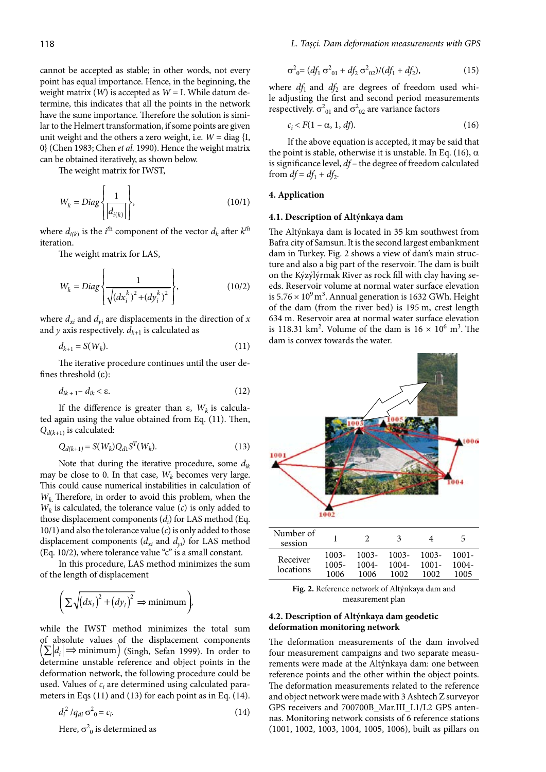cannot be accepted as stable; in other words, not every point has equal importance. Hence, in the beginning, the weight matrix (*W*) is accepted as *W* = I. While datum determine, this indicates that all the points in the network have the same importance. Therefore the solution is similar to the Helmert transformation, if some points are given unit weight and the others a zero weight, i.e.  $W = \text{diag } \{I,$ 0} (Chen 1983; Chen *et al.* 1990). Hence the weight matrix can be obtained iteratively, as shown below.

The weight matrix for IWST,

$$
W_k = Diag \left\{ \frac{1}{\left| d_{i(k)} \right|} \right\},\tag{10/1}
$$

where  $d_{i(k)}$  is the  $i^{\text{th}}$  component of the vector  $d_k$  after  $k^{\text{th}}$ iteration.

The weight matrix for LAS,

$$
W_k = Diag \left\{ \frac{1}{\sqrt{(dx_i^k)^2 + (dy_i^k)^2}} \right\},
$$
\n(10/2)

where  $d_{xi}$  and  $d_{yi}$  are displacements in the direction of  $x$ and  $y$  axis respectively.  $d_{k+1}$  is calculated as

$$
d_{k+1} = S(W_k). \tag{11}
$$

The iterative procedure continues until the user defines threshold (ε):

$$
d_{ik+1} - d_{ik} < \varepsilon. \tag{12}
$$

If the difference is greater than  $ε$ ,  $W_k$  is calculated again using the value obtained from Eq. (11). Then,  $Q_{d(k+1)}$  is calculated:

$$
Q_{d(k+1)} = S(W_k) Q_{d1} S^T(W_k).
$$
 (13)

Note that during the iterative procedure, some *dik* may be close to 0. In that case,  $W_k$  becomes very large. This could cause numerical instabilities in calculation of *Wk*. Therefore, in order to avoid this problem, when the  $W_k$  is calculated, the tolerance value  $(c)$  is only added to those displacement components (*di* ) for LAS method (Eq. 10/1) and also the tolerance value (*c*) is only added to those displacement components  $(d_{xi}$  and  $d_{yi}$ ) for LAS method (Eq. 10/2), where tolerance value "c" is a small constant.

In this procedure, LAS method minimizes the sum of the length of displacement

$$
\left(\sum \sqrt{\left(dx_i\right)^2 + \left(dy_i\right)^2} \Rightarrow \text{minimum}\right)
$$

while the IWST method minimizes the total sum of absolute values of the displacement components  $\left(\sum_i |d_i| \rightleftharpoons \text{minimum}\right)$  (Singh, Sefan 1999). In order to determine unstable reference and object points in the deformation network, the following procedure could be used. Values of *ci* are determined using calculated parameters in Eqs (11) and (13) for each point as in Eq. (14).

$$
d_i^2 / q_{di} \sigma_{0}^2 = c_i. \tag{14}
$$

Here,  $\sigma^2$ <sub>0</sub> is determined as

$$
\sigma_{0}^{2} = (df_{1} \sigma_{01}^{2} + df_{2} \sigma_{02}^{2})/(df_{1} + df_{2}), \qquad (15)
$$

where  $df_1$  and  $df_2$  are degrees of freedom used while adjusting the first and second period measurements respectively.  $\sigma_{01}^2$  and  $\sigma_{02}^2$  are variance factors

$$
c_i < F(1 - \alpha, 1, df). \tag{16}
$$

If the above equation is accepted, it may be said that the point is stable, otherwise it is unstable. In Eq. (16),  $\alpha$ is significance level, *df* – the degree of freedom calculated from  $df = df_1 + df_2$ .

# **4. Application**

#### **4.1. Description of Altýnkaya dam**

The Altýnkaya dam is located in 35 km southwest from Bafra city of Samsun. It is the second largest embankment dam in Turkey. Fig. 2 shows a view of dam's main structure and also a big part of the reservoir. The dam is built on the Kýzýlýrmak River as rock fill with clay having seeds. Reservoir volume at normal water surface elevation is  $5.76 \times 10^9 \text{ m}^3$ . Annual generation is 1632 GWh. Height of the dam (from the river bed) is 195 m, crest length 634 m. Reservoir area at normal water surface elevation is 118.31 km<sup>2</sup>. Volume of the dam is  $16 \times 10^6$  m<sup>3</sup>. The dam is convex towards the water.



**Fig. 2.** Reference network of Altýnkaya dam and measurement plan

# **4.2. Description of Altýnkaya dam geodetic deformation monitoring network**

The deformation measurements of the dam involved four measurement campaigns and two separate measurements were made at the Altýnkaya dam: one between reference points and the other within the object points. The deformation measurements related to the reference and object network were made with 3 Ashtech Z surveyor GPS receivers and 700700B\_Mar.III\_L1/L2 GPS antennas. Monitoring network consists of 6 reference stations (1001, 1002, 1003, 1004, 1005, 1006), built as pillars on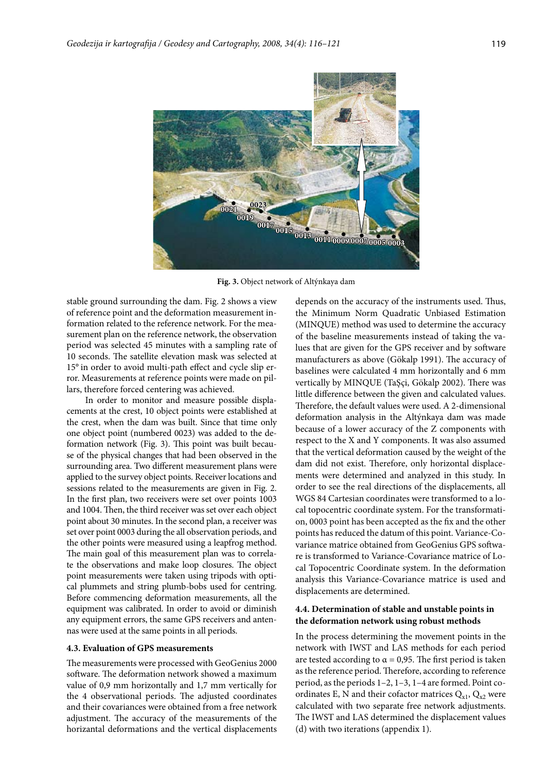

**Fig. 3.** Object network of Altýnkaya dam

stable ground surrounding the dam. Fig. 2 shows a view of reference point and the deformation measurement information related to the reference network. For the measurement plan on the reference network, the observation period was selected 45 minutes with a sampling rate of 10 seconds. The satellite elevation mask was selected at 15° in order to avoid multi-path effect and cycle slip error. Measurements at reference points were made on pillars, therefore forced centering was achieved.

In order to monitor and measure possible displacements at the crest, 10 object points were established at the crest, when the dam was built. Since that time only one object point (numbered 0023) was added to the deformation network (Fig. 3). This point was built because of the physical changes that had been observed in the surrounding area. Two different measurement plans were applied to the survey object points. Receiver locations and sessions related to the measurements are given in Fig. 2. In the first plan, two receivers were set over points 1003 and 1004. Then, the third receiver was set over each object point about 30 minutes. In the second plan, a receiver was set over point 0003 during the all observation periods, and the other points were measured using a leapfrog method. The main goal of this measurement plan was to correlate the observations and make loop closures. The object point measurements were taken using tripods with optical plummets and string plumb-bobs used for centring. Before commencing deformation measurements, all the equipment was calibrated. In order to avoid or diminish any equipment errors, the same GPS receivers and antennas were used at the same points in all periods.

### **4.3. Evaluation of GPS measurements**

The measurements were processed with GeoGenius 2000 software. The deformation network showed a maximum value of 0,9 mm horizontally and 1,7 mm vertically for the 4 observational periods. The adjusted coordinates and their covariances were obtained from a free network adjustment. The accuracy of the measurements of the horizantal deformations and the vertical displacements depends on the accuracy of the instruments used. Thus, the Minimum Norm Quadratic Unbiased Estimation (MINQUE) method was used to determine the accuracy of the baseline measurements instead of taking the values that are given for the GPS receiver and by software manufacturers as above (Gökalp 1991). The accuracy of baselines were calculated 4 mm horizontally and 6 mm vertically by MINQUE (TaŞçi, Gökalp 2002). There was little difference between the given and calculated values. Therefore, the default values were used. A 2-dimensional deformation analysis in the Altýnkaya dam was made because of a lower accuracy of the Z components with respect to the X and Y components. It was also assumed that the vertical deformation caused by the weight of the dam did not exist. Therefore, only horizontal displacements were determined and analyzed in this study. In order to see the real directions of the displacements, all WGS 84 Cartesian coordinates were transformed to a local topocentric coordinate system. For the transformation, 0003 point has been accepted as the fix and the other points has reduced the datum of this point. Variance-Covariance matrice obtained from GeoGenius GPS software is transformed to Variance-Covariance matrice of Local Topocentric Coordinate system. In the deformation analysis this Variance-Covariance matrice is used and displacements are determined.

## **4.4. Determination of stable and unstable points in the deformation network using robust methods**

In the process determining the movement points in the network with IWST and LAS methods for each period are tested according to  $\alpha$  = 0,95. The first period is taken as the reference period. Therefore, according to reference period, as the periods 1–2, 1–3, 1–4 are formed. Point coordinates E, N and their cofactor matrices  $Q_{x1}$ ,  $Q_{x2}$  were calculated with two separate free network adjustments. The IWST and LAS determined the displacement values (d) with two iterations (appendix 1).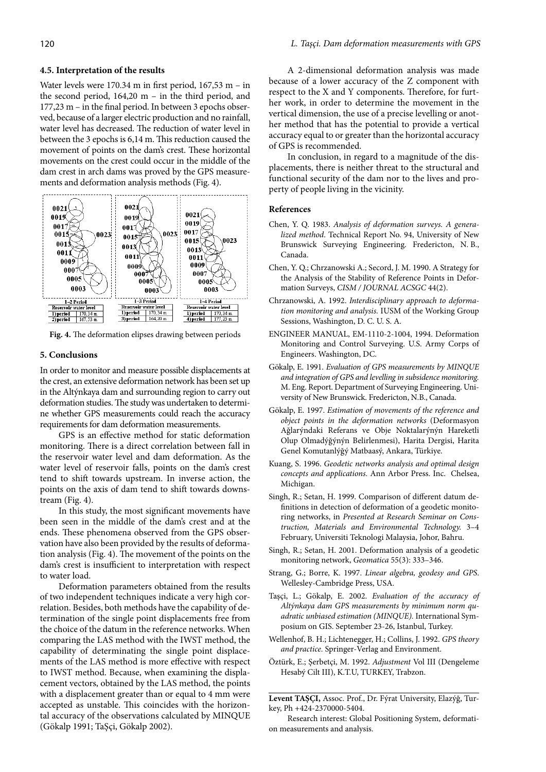## **4.5. Interpretation of the results**

Water levels were 170.34 m in first period, 167,53 m – in the second period, 164,20 m – in the third period, and 177,23 m – in the final period. In between 3 epochs observed, because of a larger electric production and no rainfall, water level has decreased. The reduction of water level in between the 3 epochs is 6,14 m. This reduction caused the movement of points on the dam's crest. These horizontal movements on the crest could occur in the middle of the dam crest in arch dams was proved by the GPS measurements and deformation analysis methods (Fig. 4).



**Fig. 4.** The deformation elipses drawing between periods

#### **5. Conclusions**

In order to monitor and measure possible displacements at the crest, an extensive deformation network has been set up in the Altýnkaya dam and surrounding region to carry out deformation studies. The study was undertaken to determine whether GPS measurements could reach the accuracy requirements for dam deformation measurements.

GPS is an effective method for static deformation monitoring. There is a direct correlation between fall in the reservoir water level and dam deformation. As the water level of reservoir falls, points on the dam's crest tend to shift towards upstream. In inverse action, the points on the axis of dam tend to shift towards downstream (Fig. 4).

In this study, the most significant movements have been seen in the middle of the dam's crest and at the ends. These phenomena observed from the GPS observation have also been provided by the results of deformation analysis (Fig. 4). The movement of the points on the dam's crest is insufficient to interpretation with respect to water load.

Deformation parameters obtained from the results of two independent techniques indicate a very high correlation. Besides, both methods have the capability of determination of the single point displacements free from the choice of the datum in the reference networks. When comparing the LAS method with the IWST method, the capability of determinating the single point displacements of the LAS method is more effective with respect to IWST method. Because, when examining the displacement vectors, obtained by the LAS method, the points with a displacement greater than or equal to 4 mm were accepted as unstable. This coincides with the horizontal accuracy of the observations calculated by MINQUE (Gökalp 1991; TaŞçi, Gökalp 2002).

A 2-dimensional deformation analysis was made because of a lower accuracy of the Z component with respect to the X and Y components. Therefore, for further work, in order to determine the movement in the vertical dimension, the use of a precise levelling or another method that has the potential to provide a vertical accuracy equal to or greater than the horizontal accuracy of GPS is recommended.

In conclusion, in regard to a magnitude of the displacements, there is neither threat to the structural and functional security of the dam nor to the lives and property of people living in the vicinity.

#### **References**

- Chen, Y. Q. 1983. *Analysis of deformation surveys. A generalized method*. Technical Report No. 94, University of New Brunswick Surveying Engineering. Fredericton, N. B., Canada.
- Chen, Y. Q.; Chrzanowski A.; Secord, J. M. 1990. A Strategy for the Analysis of the Stability of Reference Points in Deformation Surveys, *CISM / JOURNAL ACSGC* 44(2).
- Chrzanowski, A. 1992. *Interdisciplinary approach to deformation monitoring and analysis.* IUSM of the Working Group Sessions, Washington, D. C. U. S. A.
- ENGINEER MANUAL, EM-1110-2-1004, 1994. Deformation Monitoring and Control Surveying. U.S. Army Corps of Engineers. Washington, DC.
- Gökalp, E. 1991. *Evaluation of GPS measurements by MINQUE and integration of GPS and levelling in subsidence monitoring.* M. Eng. Report. Department of Surveying Engineering. University of New Brunswick. Fredericton, N.B., Canada.
- Gökalp, E. 1997. *Estimation of movements of the reference and object points in the deformation networks* (Deformasyon Ağlarýndaki Referans ve Obje Noktalarýnýn Hareketli Olup Olmadýğýnýn Belirlenmesi), Harita Dergisi, Harita Genel Komutanlýğý Matbaasý, Ankara, Türkiye.
- Kuang, S. 1996. *Geodetic networks analysis and optimal design concepts and applications*. Ann Arbor Press. Inc. Chelsea, Michigan.
- Singh, R.; Setan, H. 1999. Comparison of different datum definitions in detection of deformation of a geodetic monitoring networks, in *Presented at Research Seminar on Construction, Materials and Environmental Technology.* 3–4 February, Universiti Teknologi Malaysia, Johor, Bahru.
- Singh, R.; Setan, H. 2001. Deformation analysis of a geodetic monitoring network, *Geomatica* 55(3): 333–346.
- Strang, G.; Borre, K. 1997. *Linear algebra, geodesy and GPS*. Wellesley-Cambridge Press, USA.
- Taşçi, L.; Gökalp, E. 2002. *Evaluation of the accuracy of Altýnkaya dam GPS measurements by minimum norm quadratic unbiased estimation (MINQUE).* International Symposium on GIS. September 23-26, Istanbul, Turkey.
- Wellenhof, B. H.; Lichtenegger, H.; Collins, J. 1992. *GPS theory and practice.* Springer-Verlag and Environment.
- Öztürk, E.; Şerbetçi, M. 1992. *Adjustment* Vol III (Dengeleme Hesabý Cilt III), K.T.U, TURKEY, Trabzon.

**Levent TAŞÇI,** Assoc. Prof., Dr. Fýrat University, Elazýğ, Turkey, Ph +424-2370000-5404.

Research interest: Global Positioning System, deformation measurements and analysis.